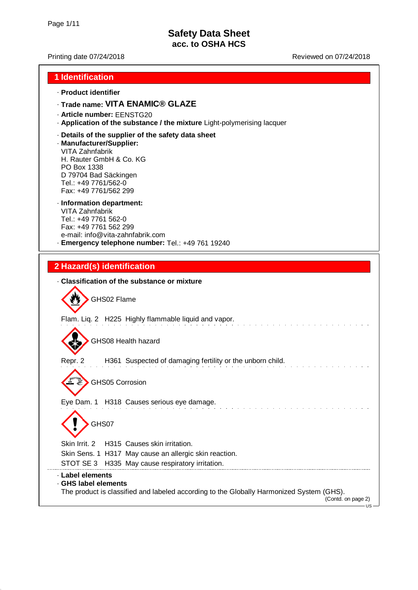#### Printing date 07/24/2018 **Printing date 07/24/2018** Reviewed on 07/24/2018

#### **1 Identification**

#### · **Product identifier**

## · **Trade name: VITA ENAMIC® GLAZE**

- · **Article number:** EENSTG20
- · **Application of the substance / the mixture** Light-polymerising lacquer
- · **Details of the supplier of the safety data sheet**

#### · **Manufacturer/Supplier:**

VITA Zahnfabrik H. Rauter GmbH & Co. KG PO Box 1338 D 79704 Bad Säckingen Tel.: +49 7761/562-0 Fax: +49 7761/562 299

### · **Information department:**

VITA Zahnfabrik Tel.: +49 7761 562-0 Fax: +49 7761 562 299 e-mail: info@vita-zahnfabrik.com · **Emergency telephone number:** Tel.: +49 761 19240

### **2 Hazard(s) identification**

|                                        | . Classification of the substance or mixture                                                                           |
|----------------------------------------|------------------------------------------------------------------------------------------------------------------------|
|                                        | GHS02 Flame                                                                                                            |
|                                        | Flam. Liq. 2 H225 Highly flammable liquid and vapor.                                                                   |
|                                        | GHS08 Health hazard                                                                                                    |
| Repr. 2                                | H361 Suspected of damaging fertility or the unborn child.                                                              |
|                                        | <b>GHS05 Corrosion</b><br>Eye Dam. 1 H318 Causes serious eye damage.                                                   |
|                                        | GHS07                                                                                                                  |
|                                        | Skin Irrit, 2 H315 Causes skin irritation.                                                                             |
|                                        | Skin Sens. 1 H317 May cause an allergic skin reaction.                                                                 |
|                                        | STOT SE 3 H335 May cause respiratory irritation.                                                                       |
| · Label elements<br>GHS label elements | The product is classified and labeled according to the Globally Harmonized System (GHS).<br>(Contd. on page 2)<br>us – |
|                                        |                                                                                                                        |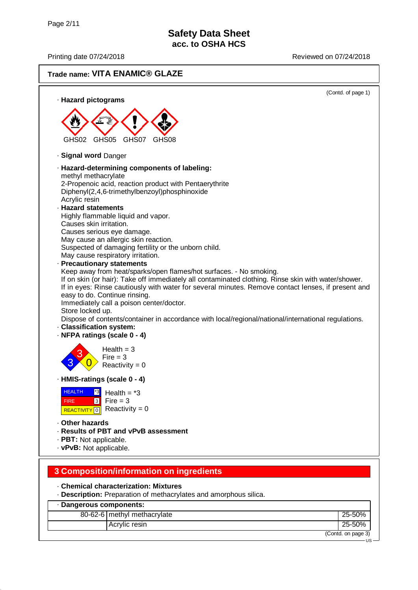US

## **Trade name: VITA ENAMIC® GLAZE**



# **3 Composition/information on ingredients**

· **Chemical characterization: Mixtures**

· **Description:** Preparation of methacrylates and amorphous silica.

### · **Dangerous components:** 80-62-6 methyl methacrylate 25-50% Acrylic resin 25-50% (Contd. on page 3)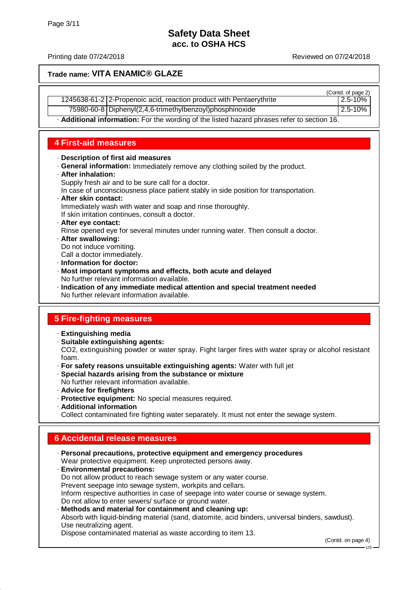#### Printing date 07/24/2018 **Printing date 07/24/2018** Reviewed on 07/24/2018

 $(C_{\text{and}} \text{ of } \text{pose } 2)$ 

#### **Trade name: VITA ENAMIC® GLAZE**

|                                                                     | TOUTILL OF DAYS 21 |
|---------------------------------------------------------------------|--------------------|
| 1245638-61-2 2-Propenoic acid, reaction product with Pentaerythrite | 2.5-10%            |
| $\cdots$                                                            | $\bullet$          |

75980-60-8 Diphenyl(2,4,6-trimethylbenzoyl)phosphinoxide 2.5-10%

· **Additional information:** For the wording of the listed hazard phrases refer to section 16.

### **4 First-aid measures**

#### · **Description of first aid measures**

· **General information:** Immediately remove any clothing soiled by the product.

#### · **After inhalation:**

Supply fresh air and to be sure call for a doctor.

In case of unconsciousness place patient stably in side position for transportation.

· **After skin contact:** Immediately wash with water and soap and rinse thoroughly.

If skin irritation continues, consult a doctor.

· **After eye contact:**

Rinse opened eye for several minutes under running water. Then consult a doctor.

· **After swallowing:** Do not induce vomiting.

Call a doctor immediately.

- · **Information for doctor:**
- · **Most important symptoms and effects, both acute and delayed** No further relevant information available.
- · **Indication of any immediate medical attention and special treatment needed** No further relevant information available.

## **5 Fire-fighting measures**

- · **Extinguishing media**
- · **Suitable extinguishing agents:**

CO2, extinguishing powder or water spray. Fight larger fires with water spray or alcohol resistant foam.

- · **For safety reasons unsuitable extinguishing agents:** Water with full jet
- · **Special hazards arising from the substance or mixture**
- No further relevant information available.
- · **Advice for firefighters**
- · **Protective equipment:** No special measures required.
- · **Additional information**

Collect contaminated fire fighting water separately. It must not enter the sewage system.

## **6 Accidental release measures**

· **Personal precautions, protective equipment and emergency procedures** Wear protective equipment. Keep unprotected persons away. · **Environmental precautions:** Do not allow product to reach sewage system or any water course. Prevent seepage into sewage system, workpits and cellars. Inform respective authorities in case of seepage into water course or sewage system. Do not allow to enter sewers/ surface or ground water. · **Methods and material for containment and cleaning up:**

Absorb with liquid-binding material (sand, diatomite, acid binders, universal binders, sawdust). Use neutralizing agent.

Dispose contaminated material as waste according to item 13.

(Contd. on page 4)

US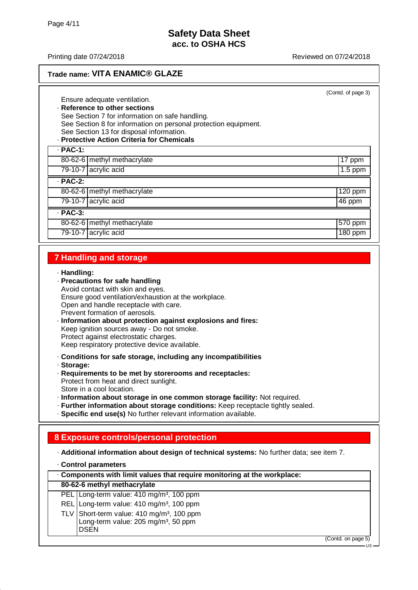## **Trade name: VITA ENAMIC® GLAZE**

(Contd. of page 3)

Ensure adequate ventilation. · **Reference to other sections** See Section 7 for information on safe handling. See Section 8 for information on personal protection equipment. See Section 13 for disposal information. · **Protective Action Criteria for Chemicals** · **PAC-1:** 80-62-6 | methyl methacrylate 17 ppm 79-10-7 acrylic acid 1.5 ppm · **PAC-2:** 80-62-6 | methyl methacrylate 120 ppm

79-10-7 acrylic acid 46 ppm · **PAC-3:** 80-62-6 | methyl methacrylate  $\vert$  570 ppm 79-10-7 acrylic acid 180 ppm

### **7 Handling and storage**

#### · **Handling:**

- · **Precautions for safe handling** Avoid contact with skin and eyes. Ensure good ventilation/exhaustion at the workplace. Open and handle receptacle with care. Prevent formation of aerosols.
- · **Information about protection against explosions and fires:** Keep ignition sources away - Do not smoke. Protect against electrostatic charges. Keep respiratory protective device available.

· **Conditions for safe storage, including any incompatibilities**

· **Storage:**

- · **Requirements to be met by storerooms and receptacles:** Protect from heat and direct sunlight. Store in a cool location.
- · **Information about storage in one common storage facility:** Not required.
- · **Further information about storage conditions:** Keep receptacle tightly sealed.

· **Specific end use(s)** No further relevant information available.

## **8 Exposure controls/personal protection**

· **Additional information about design of technical systems:** No further data; see item 7.

· **Control parameters**

| . Components with limit values that require monitoring at the workplace: |                                                       |                    |  |
|--------------------------------------------------------------------------|-------------------------------------------------------|--------------------|--|
|                                                                          | 80-62-6 methyl methacrylate                           |                    |  |
|                                                                          | PEL Long-term value: 410 mg/m <sup>3</sup> , 100 ppm  |                    |  |
|                                                                          | REL Long-term value: 410 mg/m <sup>3</sup> , 100 ppm  |                    |  |
|                                                                          | TLV Short-term value: 410 mg/m <sup>3</sup> , 100 ppm |                    |  |
|                                                                          | Long-term value: 205 mg/m <sup>3</sup> , 50 ppm       |                    |  |
|                                                                          | <b>DSEN</b>                                           |                    |  |
|                                                                          |                                                       | (Contd. on page 5) |  |

US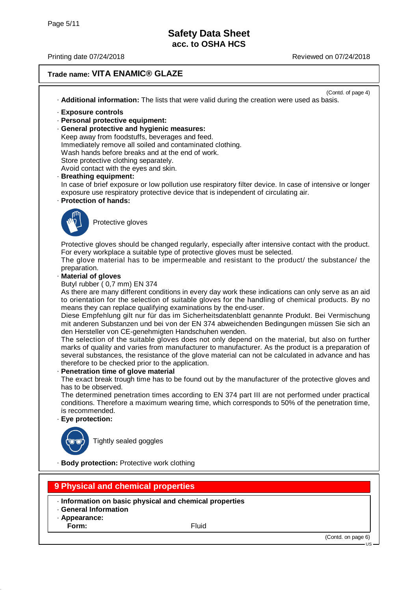### **Trade name: VITA ENAMIC® GLAZE**

(Contd. of page 4) · **Additional information:** The lists that were valid during the creation were used as basis.

- · **Exposure controls**
- · **Personal protective equipment:**
- · **General protective and hygienic measures:**

Keep away from foodstuffs, beverages and feed. Immediately remove all soiled and contaminated clothing. Wash hands before breaks and at the end of work. Store protective clothing separately.

Avoid contact with the eyes and skin.

· **Breathing equipment:**

In case of brief exposure or low pollution use respiratory filter device. In case of intensive or longer exposure use respiratory protective device that is independent of circulating air.

· **Protection of hands:**



Protective gloves

Protective gloves should be changed regularly, especially after intensive contact with the product. For every workplace a suitable type of protective gloves must be selected.

The glove material has to be impermeable and resistant to the product/ the substance/ the preparation.

· **Material of gloves**

Butyl rubber ( 0,7 mm) EN 374

As there are many different conditions in every day work these indications can only serve as an aid to orientation for the selection of suitable gloves for the handling of chemical products. By no means they can replace qualifying examinations by the end-user.

Diese Empfehlung gilt nur für das im Sicherheitsdatenblatt genannte Produkt. Bei Vermischung mit anderen Substanzen und bei von der EN 374 abweichenden Bedingungen müssen Sie sich an den Hersteller von CE-genehmigten Handschuhen wenden.

The selection of the suitable gloves does not only depend on the material, but also on further marks of quality and varies from manufacturer to manufacturer. As the product is a preparation of several substances, the resistance of the glove material can not be calculated in advance and has therefore to be checked prior to the application.

#### **Penetration time of glove material**

The exact break trough time has to be found out by the manufacturer of the protective gloves and has to be observed.

The determined penetration times according to EN 374 part III are not performed under practical conditions. Therefore a maximum wearing time, which corresponds to 50% of the penetration time, is recommended.

· **Eye protection:**



Tightly sealed goggles

· **Body protection:** Protective work clothing

### **9 Physical and chemical properties**

- · **Information on basic physical and chemical properties**
- · **General Information**
- · **Appearance:**
- **Form:** Fluid

(Contd. on page 6)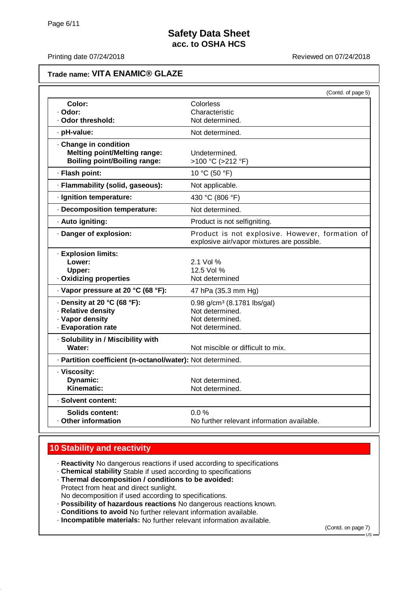### **Trade name: VITA ENAMIC® GLAZE**

|                                                                                                     | (Contd. of page 5)                                                                               |
|-----------------------------------------------------------------------------------------------------|--------------------------------------------------------------------------------------------------|
| Color:                                                                                              | Colorless                                                                                        |
| · Odor:<br>· Odor threshold:                                                                        | Characteristic<br>Not determined.                                                                |
|                                                                                                     |                                                                                                  |
| · pH-value:                                                                                         | Not determined.                                                                                  |
| · Change in condition<br><b>Melting point/Melting range:</b><br><b>Boiling point/Boiling range:</b> | Undetermined.<br>>100 °C (>212 °F)                                                               |
| · Flash point:                                                                                      | 10 °C (50 °F)                                                                                    |
| · Flammability (solid, gaseous):                                                                    | Not applicable.                                                                                  |
| · Ignition temperature:                                                                             | 430 °C (806 °F)                                                                                  |
| · Decomposition temperature:                                                                        | Not determined.                                                                                  |
| · Auto igniting:                                                                                    | Product is not selfigniting.                                                                     |
| · Danger of explosion:                                                                              | Product is not explosive. However, formation of<br>explosive air/vapor mixtures are possible.    |
| · Explosion limits:<br>Lower:<br>Upper:<br>· Oxidizing properties                                   | 2.1 Vol %<br>12.5 Vol %<br>Not determined                                                        |
| · Vapor pressure at 20 °C (68 °F):                                                                  | 47 hPa (35.3 mm Hg)                                                                              |
| $\cdot$ Density at 20 °C (68 °F):<br>· Relative density<br>· Vapor density<br>· Evaporation rate    | 0.98 g/cm <sup>3</sup> (8.1781 lbs/gal)<br>Not determined.<br>Not determined.<br>Not determined. |
| · Solubility in / Miscibility with<br>Water:                                                        | Not miscible or difficult to mix.                                                                |
| · Partition coefficient (n-octanol/water): Not determined.                                          |                                                                                                  |
| · Viscosity:<br><b>Dynamic:</b><br>Kinematic:                                                       | Not determined.<br>Not determined.                                                               |
| · Solvent content:                                                                                  |                                                                                                  |
| Solids content:<br>. Other information                                                              | 0.0%<br>No further relevant information available.                                               |

## **10 Stability and reactivity**

- · **Reactivity** No dangerous reactions if used according to specifications
- · **Chemical stability** Stable if used according to specifications
- · **Thermal decomposition / conditions to be avoided:** Protect from heat and direct sunlight. No decomposition if used according to specifications.
- · **Possibility of hazardous reactions** No dangerous reactions known.
- · **Conditions to avoid** No further relevant information available.
- · **Incompatible materials:** No further relevant information available.

(Contd. on page 7)

US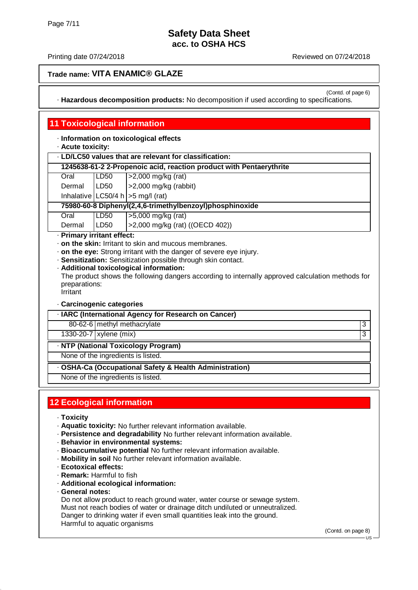(Contd. of page 6)

### **Trade name: VITA ENAMIC® GLAZE**

· **Hazardous decomposition products:** No decomposition if used according to specifications.

### **11 Toxicological information**

· **Information on toxicological effects**

· **Acute toxicity:**

| 1245638-61-2 2-Propenoic acid, reaction product with Pentaerythrite |  |
|---------------------------------------------------------------------|--|

| Oral | LD <sub>50</sub> | $ >2,000$ mg/kg (rat) |
|------|------------------|-----------------------|
|      |                  |                       |

Dermal LD50 >2,000 mg/kg (rabbit) Inhalative  $LC50/4 h$   $>>$  mg/l (rat)

#### **75980-60-8 Diphenyl(2,4,6-trimethylbenzoyl)phosphinoxide**

Oral LD50 >5,000 mg/kg (rat)

Dermal LD50 >2,000 mg/kg (rat) ((OECD 402))

· **Primary irritant effect:**

- · **on the skin:** Irritant to skin and mucous membranes.
- · **on the eye:** Strong irritant with the danger of severe eye injury.
- · **Sensitization:** Sensitization possible through skin contact.
- · **Additional toxicological information:**

The product shows the following dangers according to internally approved calculation methods for preparations:

Irritant

#### · **Carcinogenic categories**

· **IARC (International Agency for Research on Cancer)**

80-62-6 | methyl methacrylate 3

1330-20-7 xylene (mix) 3

· **NTP (National Toxicology Program)**

None of the ingredients is listed.

· **OSHA-Ca (Occupational Safety & Health Administration)**

None of the ingredients is listed.

## **12 Ecological information**

- · **Toxicity**
- · **Aquatic toxicity:** No further relevant information available.
- · **Persistence and degradability** No further relevant information available.
- · **Behavior in environmental systems:**
- · **Bioaccumulative potential** No further relevant information available.
- · **Mobility in soil** No further relevant information available.
- · **Ecotoxical effects:**
- · **Remark:** Harmful to fish
- · **Additional ecological information:**
- · **General notes:**

Do not allow product to reach ground water, water course or sewage system. Must not reach bodies of water or drainage ditch undiluted or unneutralized. Danger to drinking water if even small quantities leak into the ground. Harmful to aquatic organisms

(Contd. on page 8)

 $HS$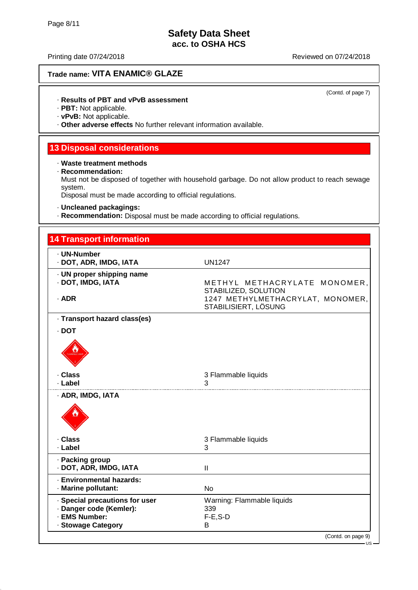## **Trade name: VITA ENAMIC® GLAZE**

(Contd. of page 7)

#### · **Results of PBT and vPvB assessment**

· **PBT:** Not applicable.

· **vPvB:** Not applicable.

· **Other adverse effects** No further relevant information available.

#### **13 Disposal considerations**

#### · **Waste treatment methods**

· **Recommendation:**

Must not be disposed of together with household garbage. Do not allow product to reach sewage system.

Disposal must be made according to official regulations.

· **Uncleaned packagings:**

· **Recommendation:** Disposal must be made according to official regulations.

| <b>14 Transport information</b>                |                                                          |
|------------------------------------------------|----------------------------------------------------------|
| · UN-Number<br>· DOT, ADR, IMDG, IATA          | <b>UN1247</b>                                            |
| · UN proper shipping name<br>· DOT, IMDG, IATA | METHYL METHACRYLATE MONOMER,<br>STABILIZED, SOLUTION     |
| $·$ ADR                                        | 1247 METHYLMETHACRYLAT, MONOMER,<br>STABILISIERT, LÖSUNG |
| · Transport hazard class(es)                   |                                                          |
| $\cdot$ DOT                                    |                                                          |
|                                                |                                                          |
| · Class                                        | 3 Flammable liquids                                      |
| · Label                                        | 3                                                        |
| · ADR, IMDG, IATA                              |                                                          |
| · Class                                        | 3 Flammable liquids                                      |
| · Label                                        | 3                                                        |
| · Packing group<br>· DOT, ADR, IMDG, IATA      | $\mathbf{I}$                                             |
| · Environmental hazards:                       |                                                          |
| · Marine pollutant:                            | <b>No</b>                                                |
| · Special precautions for user                 | Warning: Flammable liquids                               |
| · Danger code (Kemler):<br>· EMS Number:       | 339                                                      |
| · Stowage Category                             | $F-E$ , S-D<br>B                                         |
|                                                | (Contd. on page 9)                                       |

US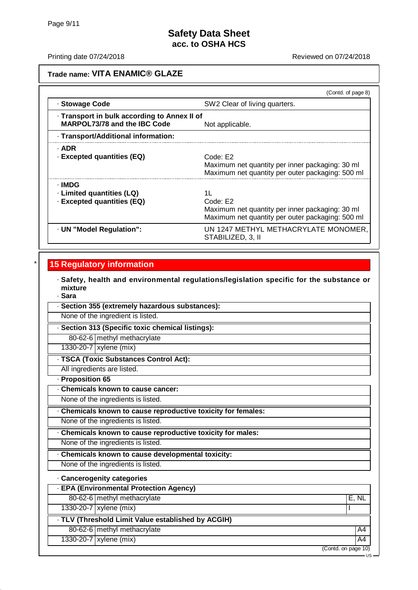#### Printing date 07/24/2018 **Printing date 07/24/2018** Reviewed on 07/24/2018

### **Trade name: VITA ENAMIC® GLAZE**

|                                                                              | (Contd. of page 8)                                                                                                    |
|------------------------------------------------------------------------------|-----------------------------------------------------------------------------------------------------------------------|
| · Stowage Code                                                               | SW2 Clear of living quarters.                                                                                         |
| · Transport in bulk according to Annex II of<br>MARPOL73/78 and the IBC Code | Not applicable.                                                                                                       |
| · Transport/Additional information:                                          |                                                                                                                       |
| · ADR<br>· Excepted quantities (EQ)                                          | Code: E2<br>Maximum net quantity per inner packaging: 30 ml<br>Maximum net quantity per outer packaging: 500 ml       |
| - IMDG<br>· Limited quantities (LQ)<br>· Excepted quantities (EQ)            | 11<br>Code: E2<br>Maximum net quantity per inner packaging: 30 ml<br>Maximum net quantity per outer packaging: 500 ml |
| · UN "Model Regulation":                                                     | UN 1247 METHYL METHACRYLATE MONOMER,<br>STABILIZED, 3, II                                                             |

### **15 Regulatory information**

· **Safety, health and environmental regulations/legislation specific for the substance or mixture**

- · **Sara**
- · **Section 355 (extremely hazardous substances):**

None of the ingredient is listed.

· **Section 313 (Specific toxic chemical listings):**

80-62-6 methyl methacrylate

1330-20-7 | xylene (mix)

· **TSCA (Toxic Substances Control Act):**

All ingredients are listed.

· **Proposition 65**

· **Chemicals known to cause cancer:**

None of the ingredients is listed.

· **Chemicals known to cause reproductive toxicity for females:**

None of the ingredients is listed.

· **Chemicals known to cause reproductive toxicity for males:**

None of the ingredients is listed.

· **Chemicals known to cause developmental toxicity:**

None of the ingredients is listed.

· **Cancerogenity categories**

· **EPA (Environmental Protection Agency)**

80-62-6 methyl methacrylate E, NL

1330-20-7 xylene (mix)

· **TLV (Threshold Limit Value established by ACGIH)**

80-62-6 methyl methacrylate A4

1330-20-7 xylene (mix) A4

(Contd. on page 10)

US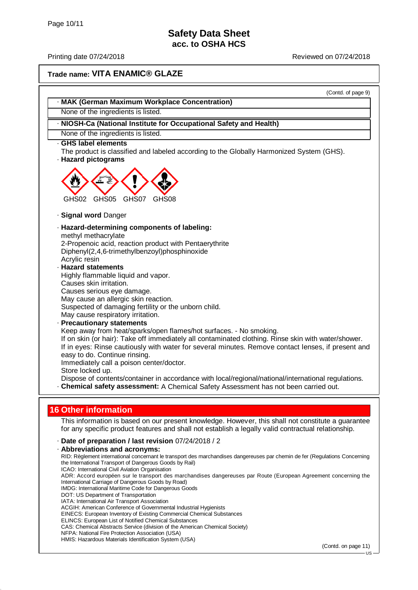### **Trade name: VITA ENAMIC® GLAZE**

(Contd. of page 9)

- · **MAK (German Maximum Workplace Concentration)**
- None of the ingredients is listed.
- · **NIOSH-Ca (National Institute for Occupational Safety and Health)**
- None of the ingredients is listed.
- · **GHS label elements**

The product is classified and labeled according to the Globally Harmonized System (GHS). · **Hazard pictograms**



- · **Signal word** Danger
- · **Hazard-determining components of labeling:**

methyl methacrylate

2-Propenoic acid, reaction product with Pentaerythrite Diphenyl(2,4,6-trimethylbenzoyl)phosphinoxide Acrylic resin

· **Hazard statements**

Highly flammable liquid and vapor. Causes skin irritation. Causes serious eye damage. May cause an allergic skin reaction. Suspected of damaging fertility or the unborn child.

May cause respiratory irritation. · **Precautionary statements** Keep away from heat/sparks/open flames/hot surfaces. - No smoking. If on skin (or hair): Take off immediately all contaminated clothing. Rinse skin with water/shower. If in eyes: Rinse cautiously with water for several minutes. Remove contact lenses, if present and easy to do. Continue rinsing. Immediately call a poison center/doctor. Store locked up. Dispose of contents/container in accordance with local/regional/national/international regulations. · **Chemical safety assessment:** A Chemical Safety Assessment has not been carried out.

**16 Other information**

This information is based on our present knowledge. However, this shall not constitute a guarantee for any specific product features and shall not establish a legally valid contractual relationship.

· **Date of preparation / last revision** 07/24/2018 / 2

· **Abbreviations and acronyms:** RID: Règlement international concernant le transport des marchandises dangereuses par chemin de fer (Regulations Concerning the International Transport of Dangerous Goods by Rail) ICAO: International Civil Aviation Organisation ADR: Accord européen sur le transport des marchandises dangereuses par Route (European Agreement concerning the International Carriage of Dangerous Goods by Road) IMDG: International Maritime Code for Dangerous Goods DOT: US Department of Transportation IATA: International Air Transport Association ACGIH: American Conference of Governmental Industrial Hygienists EINECS: European Inventory of Existing Commercial Chemical Substances ELINCS: European List of Notified Chemical Substances CAS: Chemical Abstracts Service (division of the American Chemical Society) NFPA: National Fire Protection Association (USA) HMIS: Hazardous Materials Identification System (USA)

(Contd. on page 11)

 $HS$